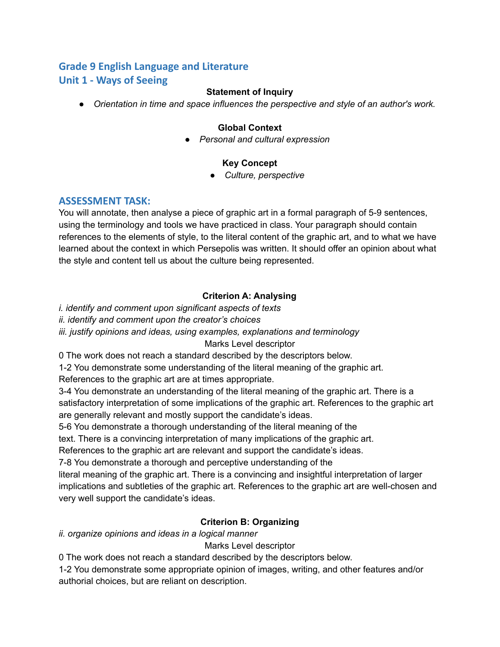# **Grade 9 English Language and Literature Unit 1 - Ways of Seeing**

#### **Statement of Inquiry**

*● Orientation in time and space influences the perspective and style of an author's work.*

#### **Global Context**

*● Personal and cultural expression*

#### **Key Concept**

*● Culture, perspective*

#### **ASSESSMENT TASK:**

You will annotate, then analyse a piece of graphic art in a formal paragraph of 5-9 sentences, using the terminology and tools we have practiced in class. Your paragraph should contain references to the elements of style, to the literal content of the graphic art, and to what we have learned about the context in which Persepolis was written. It should offer an opinion about what the style and content tell us about the culture being represented.

#### **Criterion A: Analysing**

*i. identify and comment upon significant aspects of texts*

*ii. identify and comment upon the creator's choices*

*iii. justify opinions and ideas, using examples, explanations and terminology*

Marks Level descriptor

0 The work does not reach a standard described by the descriptors below.

1-2 You demonstrate some understanding of the literal meaning of the graphic art.

References to the graphic art are at times appropriate.

3-4 You demonstrate an understanding of the literal meaning of the graphic art. There is a satisfactory interpretation of some implications of the graphic art. References to the graphic art are generally relevant and mostly support the candidate's ideas.

5-6 You demonstrate a thorough understanding of the literal meaning of the

text. There is a convincing interpretation of many implications of the graphic art.

References to the graphic art are relevant and support the candidate's ideas.

7-8 You demonstrate a thorough and perceptive understanding of the

literal meaning of the graphic art. There is a convincing and insightful interpretation of larger implications and subtleties of the graphic art. References to the graphic art are well-chosen and very well support the candidate's ideas.

#### **Criterion B: Organizing**

*ii. organize opinions and ideas in a logical manner*

Marks Level descriptor

0 The work does not reach a standard described by the descriptors below.

1-2 You demonstrate some appropriate opinion of images, writing, and other features and/or authorial choices, but are reliant on description.